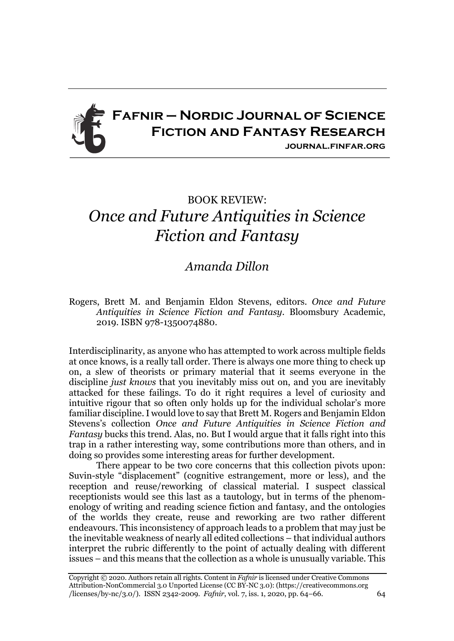

## BOOK REVIEW: *Once and Future Antiquities in Science Fiction and Fantasy*

## *Amanda Dillon*

Rogers, Brett M. and Benjamin Eldon Stevens, editors. *Once and Future Antiquities in Science Fiction and Fantasy*. Bloomsbury Academic, 2019. ISBN 978-1350074880.

Interdisciplinarity, as anyone who has attempted to work across multiple fields at once knows, is a really tall order. There is always one more thing to check up on, a slew of theorists or primary material that it seems everyone in the discipline *just knows* that you inevitably miss out on, and you are inevitably attacked for these failings. To do it right requires a level of curiosity and intuitive rigour that so often only holds up for the individual scholar's more familiar discipline. I would love to say that Brett M. Rogers and Benjamin Eldon Stevens's collection *Once and Future Antiquities in Science Fiction and Fantasy* bucks this trend. Alas, no. But I would argue that it falls right into this trap in a rather interesting way, some contributions more than others, and in doing so provides some interesting areas for further development.

There appear to be two core concerns that this collection pivots upon: Suvin-style "displacement" (cognitive estrangement, more or less), and the reception and reuse/reworking of classical material. I suspect classical receptionists would see this last as a tautology, but in terms of the phenomenology of writing and reading science fiction and fantasy, and the ontologies of the worlds they create, reuse and reworking are two rather different endeavours. This inconsistency of approach leads to a problem that may just be the inevitable weakness of nearly all edited collections – that individual authors interpret the rubric differently to the point of actually dealing with different issues – and this means that the collection as a whole is unusually variable. This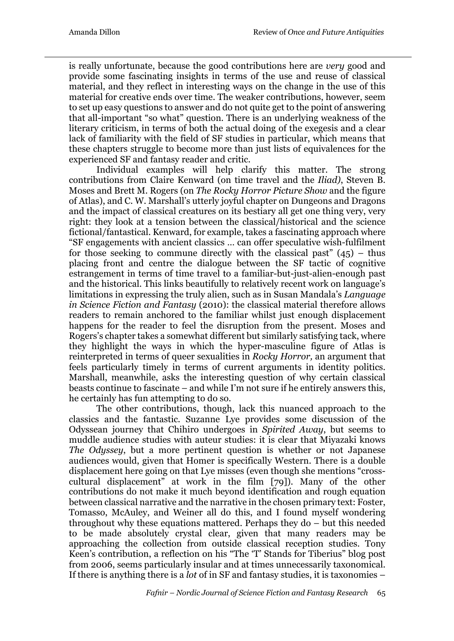is really unfortunate, because the good contributions here are *very* good and provide some fascinating insights in terms of the use and reuse of classical material, and they reflect in interesting ways on the change in the use of this material for creative ends over time. The weaker contributions, however, seem to set up easy questions to answer and do not quite get to the point of answering that all-important "so what" question. There is an underlying weakness of the literary criticism, in terms of both the actual doing of the exegesis and a clear lack of familiarity with the field of SF studies in particular, which means that these chapters struggle to become more than just lists of equivalences for the experienced SF and fantasy reader and critic.

Individual examples will help clarify this matter. The strong contributions from Claire Kenward (on time travel and the *Iliad)*, Steven B. Moses and Brett M. Rogers (on *The Rocky Horror Picture Show* and the figure of Atlas), and C. W. Marshall's utterly joyful chapter on Dungeons and Dragons and the impact of classical creatures on its bestiary all get one thing very, very right: they look at a tension between the classical/historical and the science fictional/fantastical. Kenward, for example, takes a fascinating approach where "SF engagements with ancient classics … can offer speculative wish-fulfilment for those seeking to commune directly with the classical past"  $(45)$  – thus placing front and centre the dialogue between the SF tactic of cognitive estrangement in terms of time travel to a familiar-but-just-alien-enough past and the historical. This links beautifully to relatively recent work on language's limitations in expressing the truly alien, such as in Susan Mandala's *Language in Science Fiction and Fantasy* (2010): the classical material therefore allows readers to remain anchored to the familiar whilst just enough displacement happens for the reader to feel the disruption from the present. Moses and Rogers's chapter takes a somewhat different but similarly satisfying tack, where they highlight the ways in which the hyper-masculine figure of Atlas is reinterpreted in terms of queer sexualities in *Rocky Horror,* an argument that feels particularly timely in terms of current arguments in identity politics. Marshall, meanwhile, asks the interesting question of why certain classical beasts continue to fascinate – and while I'm not sure if he entirely answers this, he certainly has fun attempting to do so.

The other contributions, though, lack this nuanced approach to the classics and the fantastic. Suzanne Lye provides some discussion of the Odyssean journey that Chihiro undergoes in *Spirited Away*, but seems to muddle audience studies with auteur studies: it is clear that Miyazaki knows *The Odyssey*, but a more pertinent question is whether or not Japanese audiences would, given that Homer is specifically Western. There is a double displacement here going on that Lye misses (even though she mentions "crosscultural displacement" at work in the film [79]). Many of the other contributions do not make it much beyond identification and rough equation between classical narrative and the narrative in the chosen primary text: Foster, Tomasso, McAuley, and Weiner all do this, and I found myself wondering throughout why these equations mattered. Perhaps they do – but this needed to be made absolutely crystal clear, given that many readers may be approaching the collection from outside classical reception studies. Tony Keen's contribution, a reflection on his "The 'T' Stands for Tiberius" blog post from 2006, seems particularly insular and at times unnecessarily taxonomical. If there is anything there is a *lot* of in SF and fantasy studies, it is taxonomies –